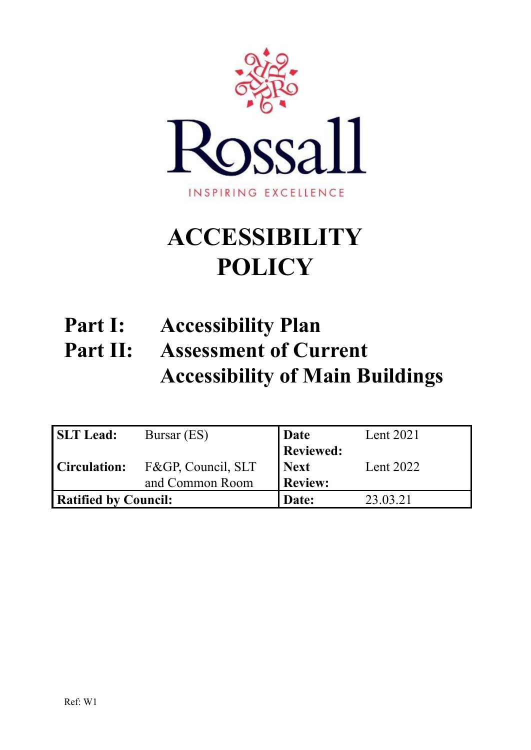

# **ACCESSIBILITY POLICY**

# **Part I: Accessibility Plan Part II: Assessment of Current Accessibility of Main Buildings**

| <b>SLT Lead:</b>            | Bursar (ES)                     | Date             | Lent 2021 |
|-----------------------------|---------------------------------|------------------|-----------|
|                             |                                 | <b>Reviewed:</b> |           |
|                             | Circulation: F&GP, Council, SLT | <b>Next</b>      | Lent 2022 |
|                             | and Common Room                 | <b>Review:</b>   |           |
| <b>Ratified by Council:</b> |                                 | Date:            | 23.03.21  |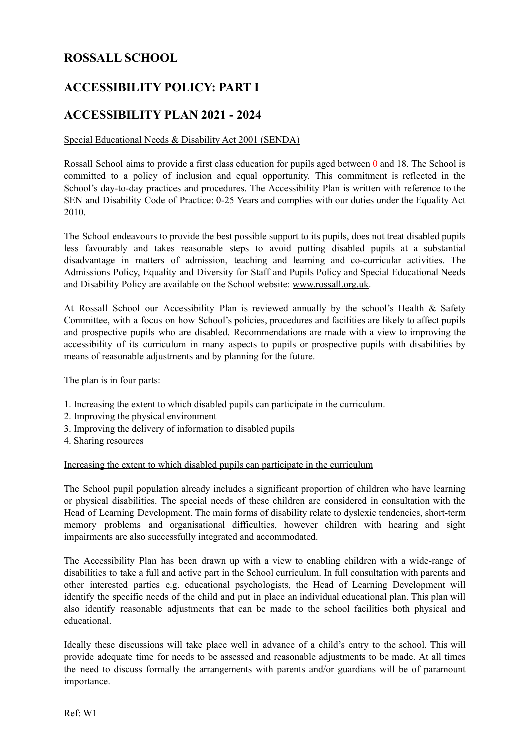# **ROSSALL SCHOOL**

# **ACCESSIBILITY POLICY: PART I**

# **ACCESSIBILITY PLAN 2021 - 2024**

# Special Educational Needs & Disability Act 2001 (SENDA)

Rossall School aims to provide a first class education for pupils aged between 0 and 18. The School is committed to a policy of inclusion and equal opportunity. This commitment is reflected in the School's day-to-day practices and procedures. The Accessibility Plan is written with reference to the SEN and Disability Code of Practice: 0-25 Years and complies with our duties under the Equality Act 2010.

The School endeavours to provide the best possible support to its pupils, does not treat disabled pupils less favourably and takes reasonable steps to avoid putting disabled pupils at a substantial disadvantage in matters of admission, teaching and learning and co-curricular activities. The Admissions Policy, Equality and Diversity for Staff and Pupils Policy and Special Educational Needs and Disability Policy are available on the School website: [www.rossall.org.uk](http://www.rossall.org.uk).

At Rossall School our Accessibility Plan is reviewed annually by the school's Health & Safety Committee, with a focus on how School's policies, procedures and facilities are likely to affect pupils and prospective pupils who are disabled. Recommendations are made with a view to improving the accessibility of its curriculum in many aspects to pupils or prospective pupils with disabilities by means of reasonable adjustments and by planning for the future.

The plan is in four parts:

- 1. Increasing the extent to which disabled pupils can participate in the curriculum.
- 2. Improving the physical environment
- 3. Improving the delivery of information to disabled pupils
- 4. Sharing resources

# Increasing the extent to which disabled pupils can participate in the curriculum

The School pupil population already includes a significant proportion of children who have learning or physical disabilities. The special needs of these children are considered in consultation with the Head of Learning Development. The main forms of disability relate to dyslexic tendencies, short-term memory problems and organisational difficulties, however children with hearing and sight impairments are also successfully integrated and accommodated.

The Accessibility Plan has been drawn up with a view to enabling children with a wide-range of disabilities to take a full and active part in the School curriculum. In full consultation with parents and other interested parties e.g. educational psychologists, the Head of Learning Development will identify the specific needs of the child and put in place an individual educational plan. This plan will also identify reasonable adjustments that can be made to the school facilities both physical and educational.

Ideally these discussions will take place well in advance of a child's entry to the school. This will provide adequate time for needs to be assessed and reasonable adjustments to be made. At all times the need to discuss formally the arrangements with parents and/or guardians will be of paramount importance.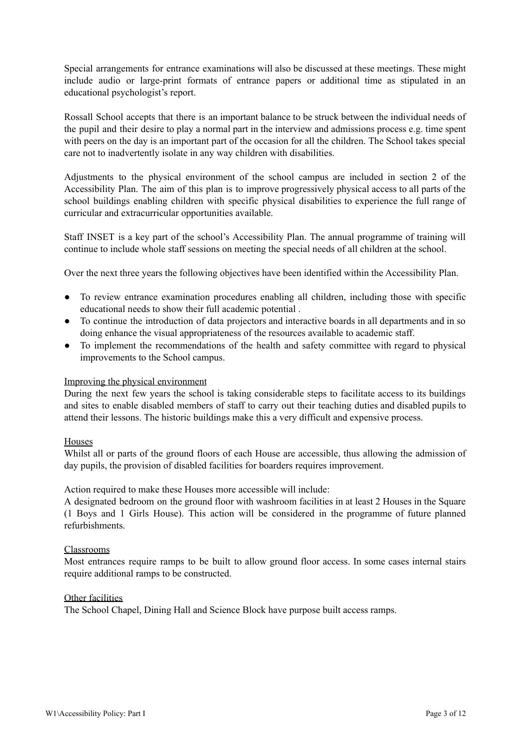Special arrangements for entrance examinations will also be discussed at these meetings. These might include audio or large-print formats of entrance papers or additional time as stipulated in an educational psychologist's report.

Rossall School accepts that there is an important balance to be struck between the individual needs of the pupil and their desire to play a normal part in the interview and admissions process e.g. time spent with peers on the day is an important part of the occasion for all the children. The School takes special care not to inadvertently isolate in any way children with disabilities.

Adjustments to the physical environment of the school campus are included in section 2 of the Accessibility Plan. The aim of this plan is to improve progressively physical access to all parts of the school buildings enabling children with specific physical disabilities to experience the full range of curricular and extracurricular opportunities available.

Staff INSET is a key part of the school's Accessibility Plan. The annual programme of training will continue to include whole staff sessions on meeting the special needs of all children at the school.

Over the next three years the following objectives have been identified within the Accessibility Plan.

- To review entrance examination procedures enabling all children, including those with specific educational needs to show their full academic potential .
- To continue the introduction of data projectors and interactive boards in all departments and in so doing enhance the visual appropriateness of the resources available to academic staff.
- To implement the recommendations of the health and safety committee with regard to physical improvements to the School campus.

# Improving the physical environment

During the next few years the school is taking considerable steps to facilitate access to its buildings and sites to enable disabled members of staff to carry out their teaching duties and disabled pupils to attend their lessons. The historic buildings make this a very difficult and expensive process.

# Houses

Whilst all or parts of the ground floors of each House are accessible, thus allowing the admission of day pupils, the provision of disabled facilities for boarders requires improvement.

Action required to make these Houses more accessible will include:

A designated bedroom on the ground floor with washroom facilities in at least 2 Houses in the Square (1 Boys and 1 Girls House). This action will be considered in the programme of future planned refurbishments.

# Classrooms

Most entrances require ramps to be built to allow ground floor access. In some cases internal stairs require additional ramps to be constructed.

#### Other facilities

The School Chapel, Dining Hall and Science Block have purpose built access ramps.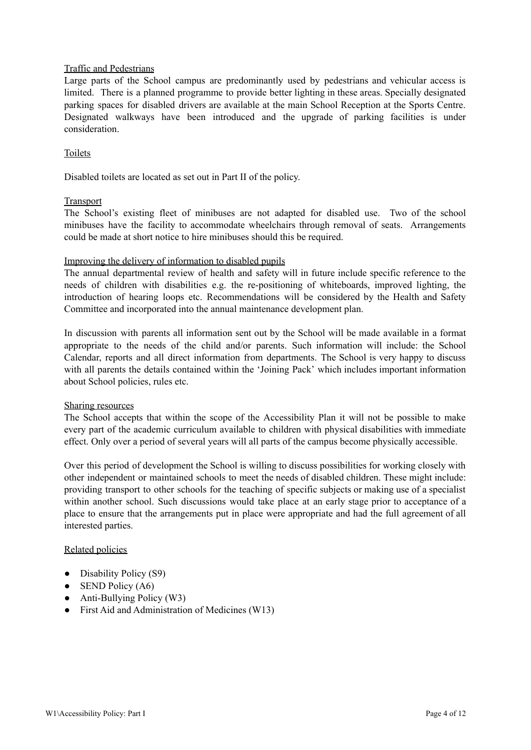# Traffic and Pedestrians

Large parts of the School campus are predominantly used by pedestrians and vehicular access is limited. There is a planned programme to provide better lighting in these areas. Specially designated parking spaces for disabled drivers are available at the main School Reception at the Sports Centre. Designated walkways have been introduced and the upgrade of parking facilities is under consideration.

# **Toilets**

Disabled toilets are located as set out in Part II of the policy.

# Transport

The School's existing fleet of minibuses are not adapted for disabled use. Two of the school minibuses have the facility to accommodate wheelchairs through removal of seats. Arrangements could be made at short notice to hire minibuses should this be required.

# Improving the delivery of information to disabled pupils

The annual departmental review of health and safety will in future include specific reference to the needs of children with disabilities e.g. the re-positioning of whiteboards, improved lighting, the introduction of hearing loops etc. Recommendations will be considered by the Health and Safety Committee and incorporated into the annual maintenance development plan.

In discussion with parents all information sent out by the School will be made available in a format appropriate to the needs of the child and/or parents. Such information will include: the School Calendar, reports and all direct information from departments. The School is very happy to discuss with all parents the details contained within the 'Joining Pack' which includes important information about School policies, rules etc.

# Sharing resources

The School accepts that within the scope of the Accessibility Plan it will not be possible to make every part of the academic curriculum available to children with physical disabilities with immediate effect. Only over a period of several years will all parts of the campus become physically accessible.

Over this period of development the School is willing to discuss possibilities for working closely with other independent or maintained schools to meet the needs of disabled children. These might include: providing transport to other schools for the teaching of specific subjects or making use of a specialist within another school. Such discussions would take place at an early stage prior to acceptance of a place to ensure that the arrangements put in place were appropriate and had the full agreement of all interested parties.

# Related policies

- Disability Policy (S9)
- $\bullet$  SEND Policy (A6)
- $\bullet$  Anti-Bullying Policy (W3)
- First Aid and Administration of Medicines (W13)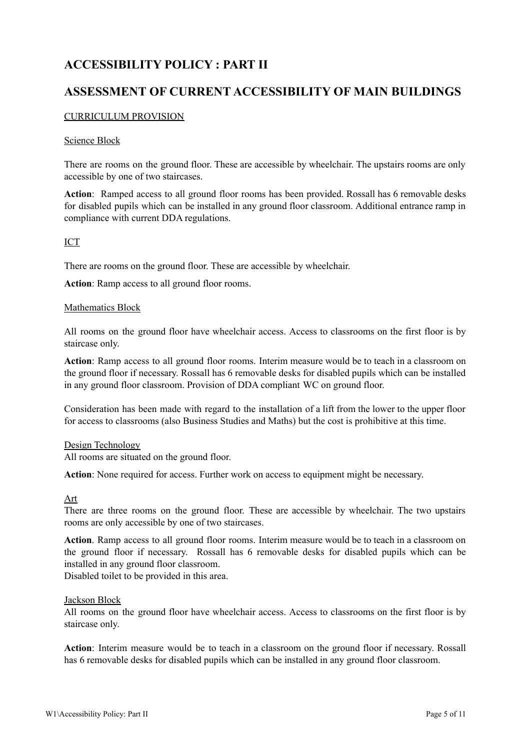# **ACCESSIBILITY POLICY : PART II**

# **ASSESSMENT OF CURRENT ACCESSIBILITY OF MAIN BUILDINGS**

# CURRICULUM PROVISION

# Science Block

There are rooms on the ground floor. These are accessible by wheelchair. The upstairs rooms are only accessible by one of two staircases.

**Action**: Ramped access to all ground floor rooms has been provided. Rossall has 6 removable desks for disabled pupils which can be installed in any ground floor classroom. Additional entrance ramp in compliance with current DDA regulations.

# ICT

There are rooms on the ground floor. These are accessible by wheelchair.

**Action**: Ramp access to all ground floor rooms.

# Mathematics Block

All rooms on the ground floor have wheelchair access. Access to classrooms on the first floor is by staircase only.

**Action**: Ramp access to all ground floor rooms. Interim measure would be to teach in a classroom on the ground floor if necessary. Rossall has 6 removable desks for disabled pupils which can be installed in any ground floor classroom. Provision of DDA compliant WC on ground floor.

Consideration has been made with regard to the installation of a lift from the lower to the upper floor for access to classrooms (also Business Studies and Maths) but the cost is prohibitive at this time.

# Design Technology

All rooms are situated on the ground floor.

**Action**: None required for access. Further work on access to equipment might be necessary.

# Art

There are three rooms on the ground floor. These are accessible by wheelchair. The two upstairs rooms are only accessible by one of two staircases.

**Action**. Ramp access to all ground floor rooms. Interim measure would be to teach in a classroom on the ground floor if necessary. Rossall has 6 removable desks for disabled pupils which can be installed in any ground floor classroom.

Disabled toilet to be provided in this area.

# Jackson Block

All rooms on the ground floor have wheelchair access. Access to classrooms on the first floor is by staircase only.

**Action**: Interim measure would be to teach in a classroom on the ground floor if necessary. Rossall has 6 removable desks for disabled pupils which can be installed in any ground floor classroom.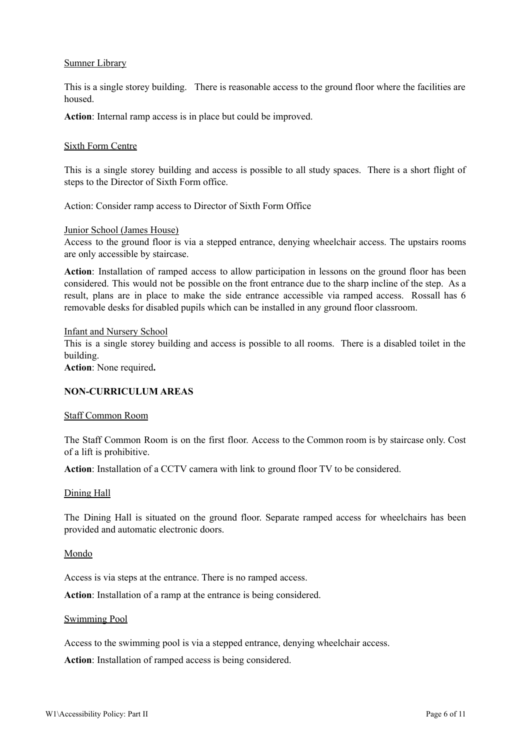## Sumner Library

This is a single storey building. There is reasonable access to the ground floor where the facilities are housed.

**Action**: Internal ramp access is in place but could be improved.

#### Sixth Form Centre

This is a single storey building and access is possible to all study spaces. There is a short flight of steps to the Director of Sixth Form office.

Action: Consider ramp access to Director of Sixth Form Office

#### Junior School (James House)

Access to the ground floor is via a stepped entrance, denying wheelchair access. The upstairs rooms are only accessible by staircase.

**Action**: Installation of ramped access to allow participation in lessons on the ground floor has been considered. This would not be possible on the front entrance due to the sharp incline of the step. As a result, plans are in place to make the side entrance accessible via ramped access. Rossall has 6 removable desks for disabled pupils which can be installed in any ground floor classroom.

#### Infant and Nursery School

This is a single storey building and access is possible to all rooms. There is a disabled toilet in the building.

**Action**: None required**.**

# **NON-CURRICULUM AREAS**

#### Staff Common Room

The Staff Common Room is on the first floor. Access to the Common room is by staircase only. Cost of a lift is prohibitive.

**Action**: Installation of a CCTV camera with link to ground floor TV to be considered.

#### Dining Hall

The Dining Hall is situated on the ground floor. Separate ramped access for wheelchairs has been provided and automatic electronic doors.

#### Mondo

Access is via steps at the entrance. There is no ramped access.

**Action**: Installation of a ramp at the entrance is being considered.

#### Swimming Pool

Access to the swimming pool is via a stepped entrance, denying wheelchair access.

**Action**: Installation of ramped access is being considered.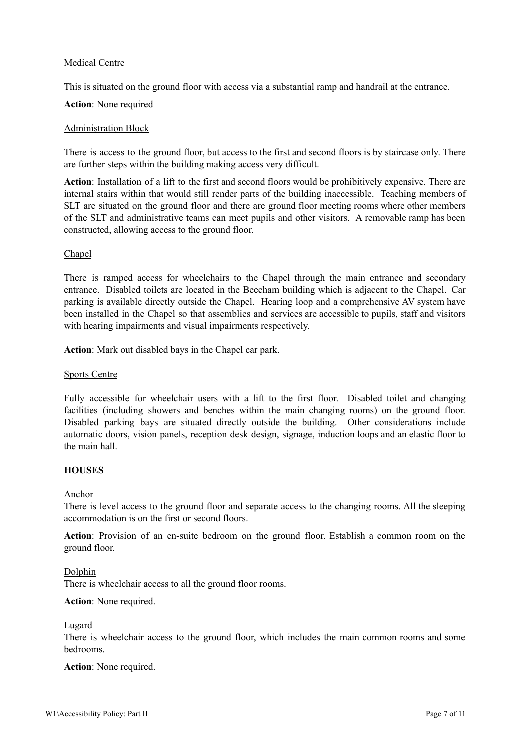# Medical Centre

This is situated on the ground floor with access via a substantial ramp and handrail at the entrance.

# **Action**: None required

# Administration Block

There is access to the ground floor, but access to the first and second floors is by staircase only. There are further steps within the building making access very difficult.

**Action**: Installation of a lift to the first and second floors would be prohibitively expensive. There are internal stairs within that would still render parts of the building inaccessible. Teaching members of SLT are situated on the ground floor and there are ground floor meeting rooms where other members of the SLT and administrative teams can meet pupils and other visitors. A removable ramp has been constructed, allowing access to the ground floor.

# Chapel

There is ramped access for wheelchairs to the Chapel through the main entrance and secondary entrance. Disabled toilets are located in the Beecham building which is adjacent to the Chapel. Car parking is available directly outside the Chapel. Hearing loop and a comprehensive AV system have been installed in the Chapel so that assemblies and services are accessible to pupils, staff and visitors with hearing impairments and visual impairments respectively.

**Action**: Mark out disabled bays in the Chapel car park.

# Sports Centre

Fully accessible for wheelchair users with a lift to the first floor. Disabled toilet and changing facilities (including showers and benches within the main changing rooms) on the ground floor. Disabled parking bays are situated directly outside the building. Other considerations include automatic doors, vision panels, reception desk design, signage, induction loops and an elastic floor to the main hall.

# **HOUSES**

# Anchor

There is level access to the ground floor and separate access to the changing rooms. All the sleeping accommodation is on the first or second floors.

**Action**: Provision of an en-suite bedroom on the ground floor. Establish a common room on the ground floor.

# Dolphin

There is wheelchair access to all the ground floor rooms.

# **Action**: None required.

#### Lugard

There is wheelchair access to the ground floor, which includes the main common rooms and some bedrooms.

# **Action**: None required.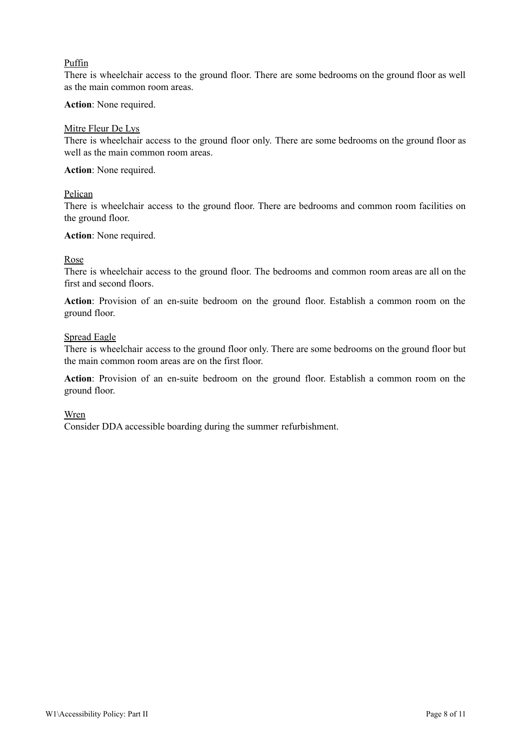# Puffin

There is wheelchair access to the ground floor. There are some bedrooms on the ground floor as well as the main common room areas.

## **Action**: None required.

## Mitre Fleur De Lys

There is wheelchair access to the ground floor only. There are some bedrooms on the ground floor as well as the main common room areas.

# **Action**: None required.

#### Pelican

There is wheelchair access to the ground floor. There are bedrooms and common room facilities on the ground floor.

#### **Action**: None required.

# Rose

There is wheelchair access to the ground floor. The bedrooms and common room areas are all on the first and second floors.

**Action**: Provision of an en-suite bedroom on the ground floor. Establish a common room on the ground floor.

#### Spread Eagle

There is wheelchair access to the ground floor only. There are some bedrooms on the ground floor but the main common room areas are on the first floor.

**Action**: Provision of an en-suite bedroom on the ground floor. Establish a common room on the ground floor.

#### Wren

Consider DDA accessible boarding during the summer refurbishment.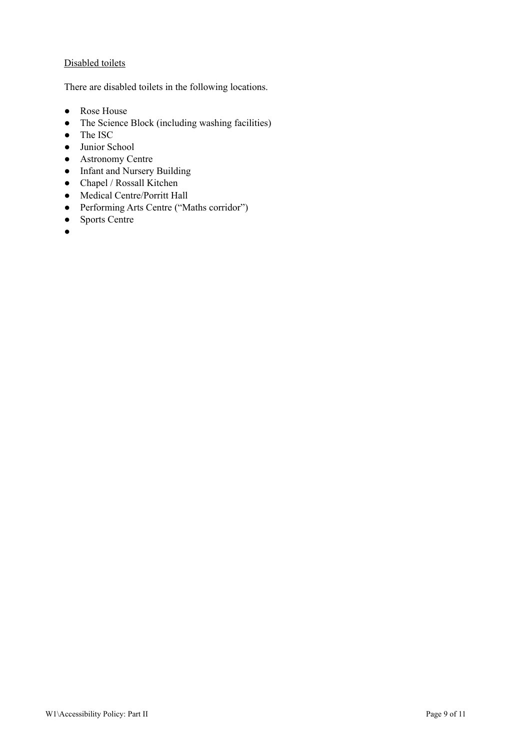# Disabled toilets

There are disabled toilets in the following locations.

- Rose House
- The Science Block (including washing facilities)
- The ISC
- Junior School
- Astronomy Centre
- Infant and Nursery Building
- Chapel / Rossall Kitchen
- Medical Centre/Porritt Hall
- Performing Arts Centre ("Maths corridor")
- Sports Centre
- $\bullet$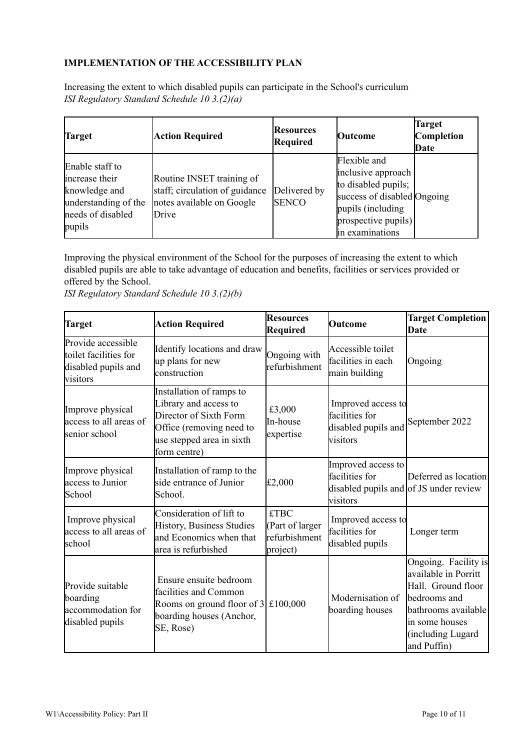# **IMPLEMENTATION OF THE ACCESSIBILITY PLAN**

Increasing the extent to which disabled pupils can participate in the School's curriculum *ISI Regulatory Standard Schedule 10 3.(2)(a)*

| Target                                                                                                    | <b>Action Required</b>                                                                            | <b>Resources</b><br><b>Required</b> | <b>Outcome</b>                                                                                                                                           | Target<br>Completion<br>Date |
|-----------------------------------------------------------------------------------------------------------|---------------------------------------------------------------------------------------------------|-------------------------------------|----------------------------------------------------------------------------------------------------------------------------------------------------------|------------------------------|
| Enable staff to<br>increase their<br>knowledge and<br>understanding of the<br>needs of disabled<br>pupils | Routine INSET training of<br>staff; circulation of guidance<br>notes available on Google<br>Drive | Delivered by<br><b>SENCO</b>        | Flexible and<br>inclusive approach<br>to disabled pupils;<br>success of disabled Ongoing<br>pupils (including)<br>prospective pupils)<br>in examinations |                              |

Improving the physical environment of the School for the purposes of increasing the extent to which disabled pupils are able to take advantage of education and benefits, facilities or services provided or offered by the School.

*ISI Regulatory Standard Schedule 10 3.(2)(b)*

| <b>Target</b>                                                                  | <b>Action Required</b>                                                                                                                               | <b>Resources</b><br><b>Required</b>                         | Outcome                                                                                    | <b>Target Completion</b><br>Date                                                                                                                                |
|--------------------------------------------------------------------------------|------------------------------------------------------------------------------------------------------------------------------------------------------|-------------------------------------------------------------|--------------------------------------------------------------------------------------------|-----------------------------------------------------------------------------------------------------------------------------------------------------------------|
| Provide accessible<br>toilet facilities for<br>disabled pupils and<br>visitors | Identify locations and draw<br>up plans for new<br>construction                                                                                      | Ongoing with<br>refurbishment                               | Accessible toilet<br>facilities in each<br>main building                                   | Ongoing                                                                                                                                                         |
| Improve physical<br>access to all areas of<br>senior school                    | Installation of ramps to<br>Library and access to<br>Director of Sixth Form<br>Office (removing need to<br>use stepped area in sixth<br>form centre) | £3,000<br>In-house<br>expertise                             | Improved access to<br>facilities for<br>disabled pupils and<br>visitors                    | September 2022                                                                                                                                                  |
| Improve physical<br>access to Junior<br>School                                 | Installation of ramp to the<br>side entrance of Junior<br>School.                                                                                    | £2,000                                                      | Improved access to<br>facilities for<br>disabled pupils and of JS under review<br>visitors | Deferred as location                                                                                                                                            |
| Improve physical<br>access to all areas of<br>school                           | Consideration of lift to<br>History, Business Studies<br>and Economics when that<br>area is refurbished                                              | <b>£TBC</b><br>(Part of larger<br>refurbishment<br>project) | Improved access to<br>facilities for<br>disabled pupils                                    | Longer term                                                                                                                                                     |
| Provide suitable<br>boarding<br>accommodation for<br>disabled pupils           | Ensure ensuite bedroom<br>facilities and Common<br>Rooms on ground floor of $3 \mid \pounds 100,000$<br>boarding houses (Anchor,<br>SE, Rose)        |                                                             | Modernisation of<br>boarding houses                                                        | Ongoing. Facility is<br>available in Porritt<br>Hall. Ground floor<br>bedrooms and<br>bathrooms available<br>in some houses<br>(including Lugard<br>and Puffin) |